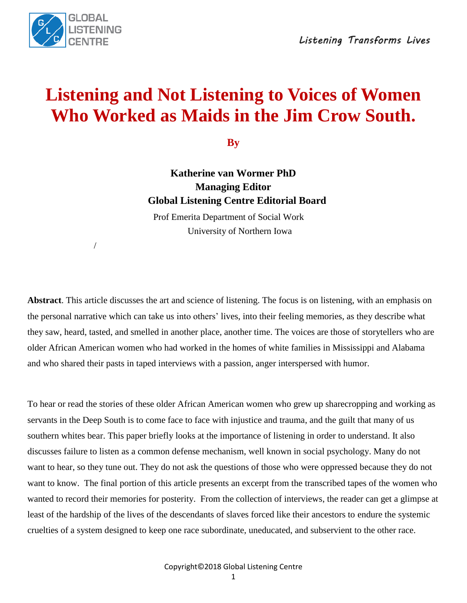

/

# **Listening and Not Listening to Voices of Women Who Worked as Maids in the Jim Crow South.**

**By**

**Katherine van Wormer PhD Managing Editor Global Listening Centre Editorial Board**

 Prof Emerita Department of Social Work University of Northern Iowa

**Abstract**. This article discusses the art and science of listening. The focus is on listening, with an emphasis on the personal narrative which can take us into others' lives, into their feeling memories, as they describe what they saw, heard, tasted, and smelled in another place, another time. The voices are those of storytellers who are older African American women who had worked in the homes of white families in Mississippi and Alabama and who shared their pasts in taped interviews with a passion, anger interspersed with humor.

To hear or read the stories of these older African American women who grew up sharecropping and working as servants in the Deep South is to come face to face with injustice and trauma, and the guilt that many of us southern whites bear. This paper briefly looks at the importance of listening in order to understand. It also discusses failure to listen as a common defense mechanism, well known in social psychology. Many do not want to hear, so they tune out. They do not ask the questions of those who were oppressed because they do not want to know. The final portion of this article presents an excerpt from the transcribed tapes of the women who wanted to record their memories for posterity. From the collection of interviews, the reader can get a glimpse at least of the hardship of the lives of the descendants of slaves forced like their ancestors to endure the systemic cruelties of a system designed to keep one race subordinate, uneducated, and subservient to the other race.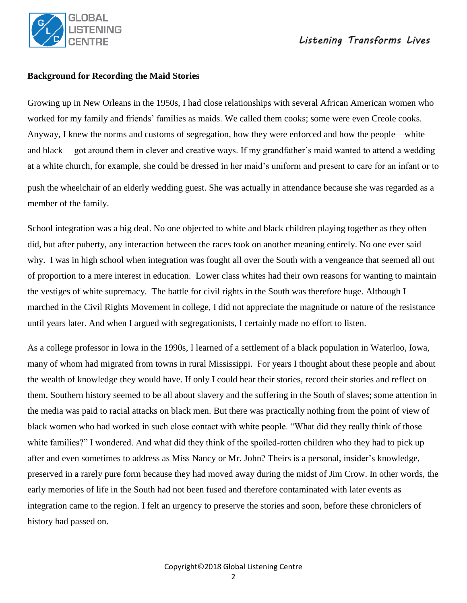

#### **Background for Recording the Maid Stories**

Growing up in New Orleans in the 1950s, I had close relationships with several African American women who worked for my family and friends' families as maids. We called them cooks; some were even Creole cooks. Anyway, I knew the norms and customs of segregation, how they were enforced and how the people—white and black— got around them in clever and creative ways. If my grandfather's maid wanted to attend a wedding at a white church, for example, she could be dressed in her maid's uniform and present to care for an infant or to push the wheelchair of an elderly wedding guest. She was actually in attendance because she was regarded as a member of the family.

School integration was a big deal. No one objected to white and black children playing together as they often did, but after puberty, any interaction between the races took on another meaning entirely. No one ever said why. I was in high school when integration was fought all over the South with a vengeance that seemed all out of proportion to a mere interest in education. Lower class whites had their own reasons for wanting to maintain the vestiges of white supremacy. The battle for civil rights in the South was therefore huge. Although I marched in the Civil Rights Movement in college, I did not appreciate the magnitude or nature of the resistance until years later. And when I argued with segregationists, I certainly made no effort to listen.

As a college professor in Iowa in the 1990s, I learned of a settlement of a black population in Waterloo, Iowa, many of whom had migrated from towns in rural Mississippi. For years I thought about these people and about the wealth of knowledge they would have. If only I could hear their stories, record their stories and reflect on them. Southern history seemed to be all about slavery and the suffering in the South of slaves; some attention in the media was paid to racial attacks on black men. But there was practically nothing from the point of view of black women who had worked in such close contact with white people. "What did they really think of those white families?" I wondered. And what did they think of the spoiled-rotten children who they had to pick up after and even sometimes to address as Miss Nancy or Mr. John? Theirs is a personal, insider's knowledge, preserved in a rarely pure form because they had moved away during the midst of Jim Crow. In other words, the early memories of life in the South had not been fused and therefore contaminated with later events as integration came to the region. I felt an urgency to preserve the stories and soon, before these chroniclers of history had passed on.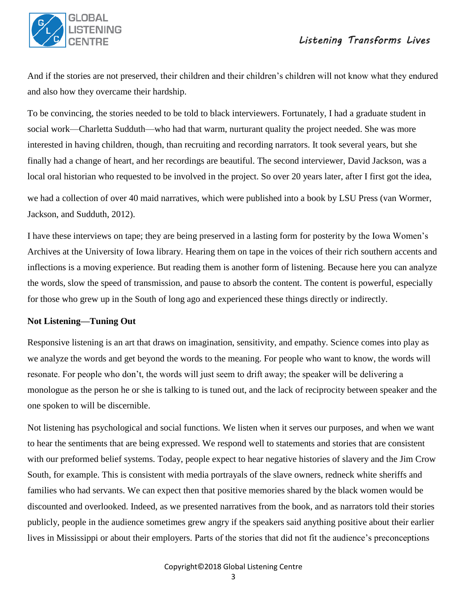

And if the stories are not preserved, their children and their children's children will not know what they endured and also how they overcame their hardship.

To be convincing, the stories needed to be told to black interviewers. Fortunately, I had a graduate student in social work—Charletta Sudduth—who had that warm, nurturant quality the project needed. She was more interested in having children, though, than recruiting and recording narrators. It took several years, but she finally had a change of heart, and her recordings are beautiful. The second interviewer, David Jackson, was a local oral historian who requested to be involved in the project. So over 20 years later, after I first got the idea,

we had a collection of over 40 maid narratives, which were published into a book by LSU Press (van Wormer, Jackson, and Sudduth, 2012).

I have these interviews on tape; they are being preserved in a lasting form for posterity by the Iowa Women's Archives at the University of Iowa library. Hearing them on tape in the voices of their rich southern accents and inflections is a moving experience. But reading them is another form of listening. Because here you can analyze the words, slow the speed of transmission, and pause to absorb the content. The content is powerful, especially for those who grew up in the South of long ago and experienced these things directly or indirectly.

### **Not Listening—Tuning Out**

Responsive listening is an art that draws on imagination, sensitivity, and empathy. Science comes into play as we analyze the words and get beyond the words to the meaning. For people who want to know, the words will resonate. For people who don't, the words will just seem to drift away; the speaker will be delivering a monologue as the person he or she is talking to is tuned out, and the lack of reciprocity between speaker and the one spoken to will be discernible.

Not listening has psychological and social functions. We listen when it serves our purposes, and when we want to hear the sentiments that are being expressed. We respond well to statements and stories that are consistent with our preformed belief systems. Today, people expect to hear negative histories of slavery and the Jim Crow South, for example. This is consistent with media portrayals of the slave owners, redneck white sheriffs and families who had servants. We can expect then that positive memories shared by the black women would be discounted and overlooked. Indeed, as we presented narratives from the book, and as narrators told their stories publicly, people in the audience sometimes grew angry if the speakers said anything positive about their earlier lives in Mississippi or about their employers. Parts of the stories that did not fit the audience's preconceptions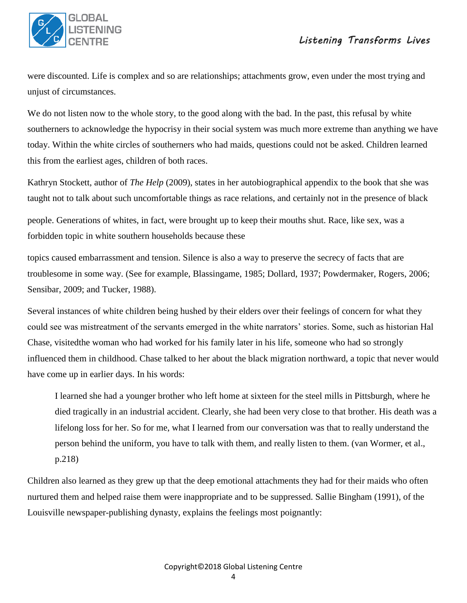

were discounted. Life is complex and so are relationships; attachments grow, even under the most trying and unjust of circumstances.

We do not listen now to the whole story, to the good along with the bad. In the past, this refusal by white southerners to acknowledge the hypocrisy in their social system was much more extreme than anything we have today. Within the white circles of southerners who had maids, questions could not be asked. Children learned this from the earliest ages, children of both races.

Kathryn Stockett, author of *The Help* (2009), states in her autobiographical appendix to the book that she was taught not to talk about such uncomfortable things as race relations, and certainly not in the presence of black

people. Generations of whites, in fact, were brought up to keep their mouths shut. Race, like sex, was a forbidden topic in white southern households because these

topics caused embarrassment and tension. Silence is also a way to preserve the secrecy of facts that are troublesome in some way. (See for example, Blassingame, 1985; Dollard, 1937; Powdermaker, Rogers, 2006; Sensibar, 2009; and Tucker, 1988).

Several instances of white children being hushed by their elders over their feelings of concern for what they could see was mistreatment of the servants emerged in the white narrators' stories. Some, such as historian Hal Chase, visitedthe woman who had worked for his family later in his life, someone who had so strongly influenced them in childhood. Chase talked to her about the black migration northward, a topic that never would have come up in earlier days. In his words:

I learned she had a younger brother who left home at sixteen for the steel mills in Pittsburgh, where he died tragically in an industrial accident. Clearly, she had been very close to that brother. His death was a lifelong loss for her. So for me, what I learned from our conversation was that to really understand the person behind the uniform, you have to talk with them, and really listen to them. (van Wormer, et al., p.218)

Children also learned as they grew up that the deep emotional attachments they had for their maids who often nurtured them and helped raise them were inappropriate and to be suppressed. Sallie Bingham (1991), of the Louisville newspaper-publishing dynasty, explains the feelings most poignantly: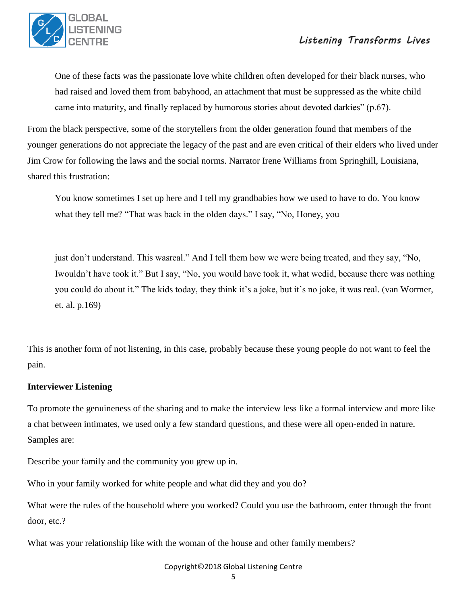

One of these facts was the passionate love white children often developed for their black nurses, who had raised and loved them from babyhood, an attachment that must be suppressed as the white child came into maturity, and finally replaced by humorous stories about devoted darkies" (p.67).

From the black perspective, some of the storytellers from the older generation found that members of the younger generations do not appreciate the legacy of the past and are even critical of their elders who lived under Jim Crow for following the laws and the social norms. Narrator Irene Williams from Springhill, Louisiana, shared this frustration:

You know sometimes I set up here and I tell my grandbabies how we used to have to do. You know what they tell me? "That was back in the olden days." I say, "No, Honey, you

just don't understand. This wasreal." And I tell them how we were being treated, and they say, "No, Iwouldn't have took it." But I say, "No, you would have took it, what wedid, because there was nothing you could do about it." The kids today, they think it's a joke, but it's no joke, it was real. (van Wormer, et. al. p.169)

This is another form of not listening, in this case, probably because these young people do not want to feel the pain.

### **Interviewer Listening**

To promote the genuineness of the sharing and to make the interview less like a formal interview and more like a chat between intimates, we used only a few standard questions, and these were all open-ended in nature. Samples are:

Describe your family and the community you grew up in.

Who in your family worked for white people and what did they and you do?

What were the rules of the household where you worked? Could you use the bathroom, enter through the front door, etc.?

What was your relationship like with the woman of the house and other family members?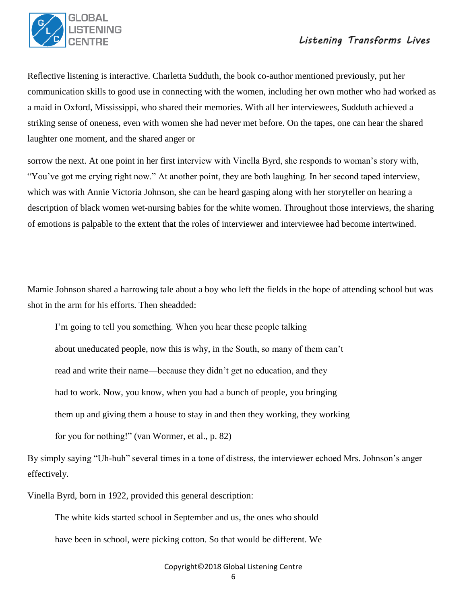

Reflective listening is interactive. Charletta Sudduth, the book co-author mentioned previously, put her communication skills to good use in connecting with the women, including her own mother who had worked as a maid in Oxford, Mississippi, who shared their memories. With all her interviewees, Sudduth achieved a striking sense of oneness, even with women she had never met before. On the tapes, one can hear the shared laughter one moment, and the shared anger or

sorrow the next. At one point in her first interview with Vinella Byrd, she responds to woman's story with, "You've got me crying right now." At another point, they are both laughing. In her second taped interview, which was with Annie Victoria Johnson, she can be heard gasping along with her storyteller on hearing a description of black women wet-nursing babies for the white women. Throughout those interviews, the sharing of emotions is palpable to the extent that the roles of interviewer and interviewee had become intertwined.

Mamie Johnson shared a harrowing tale about a boy who left the fields in the hope of attending school but was shot in the arm for his efforts. Then sheadded:

I'm going to tell you something. When you hear these people talking about uneducated people, now this is why, in the South, so many of them can't read and write their name—because they didn't get no education, and they had to work. Now, you know, when you had a bunch of people, you bringing them up and giving them a house to stay in and then they working, they working for you for nothing!" (van Wormer, et al., p. 82)

By simply saying "Uh-huh" several times in a tone of distress, the interviewer echoed Mrs. Johnson's anger effectively.

Vinella Byrd, born in 1922, provided this general description:

The white kids started school in September and us, the ones who should

have been in school, were picking cotton. So that would be different. We

Copyright©2018 Global Listening Centre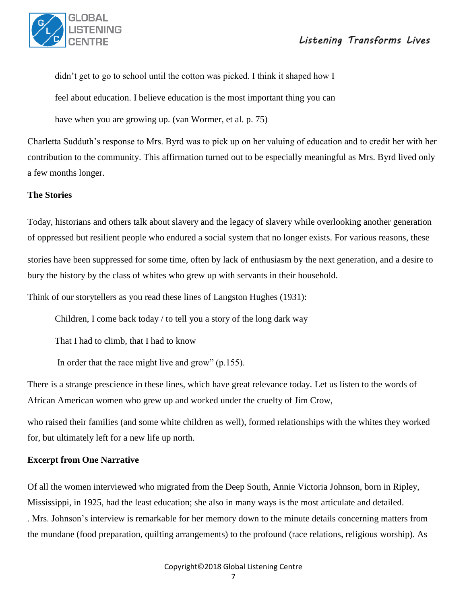

didn't get to go to school until the cotton was picked. I think it shaped how I

feel about education. I believe education is the most important thing you can

have when you are growing up. (van Wormer, et al. p. 75)

Charletta Sudduth's response to Mrs. Byrd was to pick up on her valuing of education and to credit her with her contribution to the community. This affirmation turned out to be especially meaningful as Mrs. Byrd lived only a few months longer.

## **The Stories**

Today, historians and others talk about slavery and the legacy of slavery while overlooking another generation of oppressed but resilient people who endured a social system that no longer exists. For various reasons, these

stories have been suppressed for some time, often by lack of enthusiasm by the next generation, and a desire to bury the history by the class of whites who grew up with servants in their household.

Think of our storytellers as you read these lines of Langston Hughes (1931):

Children, I come back today / to tell you a story of the long dark way

That I had to climb, that I had to know

In order that the race might live and grow" (p.155).

There is a strange prescience in these lines, which have great relevance today. Let us listen to the words of African American women who grew up and worked under the cruelty of Jim Crow,

who raised their families (and some white children as well), formed relationships with the whites they worked for, but ultimately left for a new life up north.

### **Excerpt from One Narrative**

Of all the women interviewed who migrated from the Deep South, Annie Victoria Johnson, born in Ripley, Mississippi, in 1925, had the least education; she also in many ways is the most articulate and detailed. . Mrs. Johnson's interview is remarkable for her memory down to the minute details concerning matters from the mundane (food preparation, quilting arrangements) to the profound (race relations, religious worship). As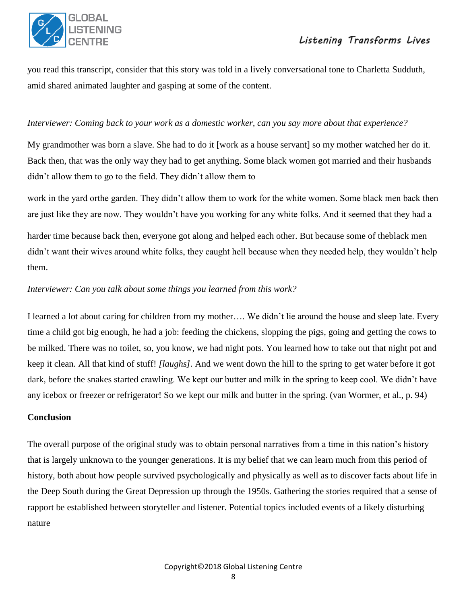

you read this transcript, consider that this story was told in a lively conversational tone to Charletta Sudduth, amid shared animated laughter and gasping at some of the content.

## *Interviewer: Coming back to your work as a domestic worker, can you say more about that experience?*

My grandmother was born a slave. She had to do it [work as a house servant] so my mother watched her do it. Back then, that was the only way they had to get anything. Some black women got married and their husbands didn't allow them to go to the field. They didn't allow them to

work in the yard orthe garden. They didn't allow them to work for the white women. Some black men back then are just like they are now. They wouldn't have you working for any white folks. And it seemed that they had a

harder time because back then, everyone got along and helped each other. But because some of theblack men didn't want their wives around white folks, they caught hell because when they needed help, they wouldn't help them.

## *Interviewer: Can you talk about some things you learned from this work?*

I learned a lot about caring for children from my mother…. We didn't lie around the house and sleep late. Every time a child got big enough, he had a job: feeding the chickens, slopping the pigs, going and getting the cows to be milked. There was no toilet, so, you know, we had night pots. You learned how to take out that night pot and keep it clean. All that kind of stuff! *[laughs].* And we went down the hill to the spring to get water before it got dark, before the snakes started crawling. We kept our butter and milk in the spring to keep cool. We didn't have any icebox or freezer or refrigerator! So we kept our milk and butter in the spring. (van Wormer, et al., p. 94)

## **Conclusion**

The overall purpose of the original study was to obtain personal narratives from a time in this nation's history that is largely unknown to the younger generations. It is my belief that we can learn much from this period of history, both about how people survived psychologically and physically as well as to discover facts about life in the Deep South during the Great Depression up through the 1950s. Gathering the stories required that a sense of rapport be established between storyteller and listener. Potential topics included events of a likely disturbing nature